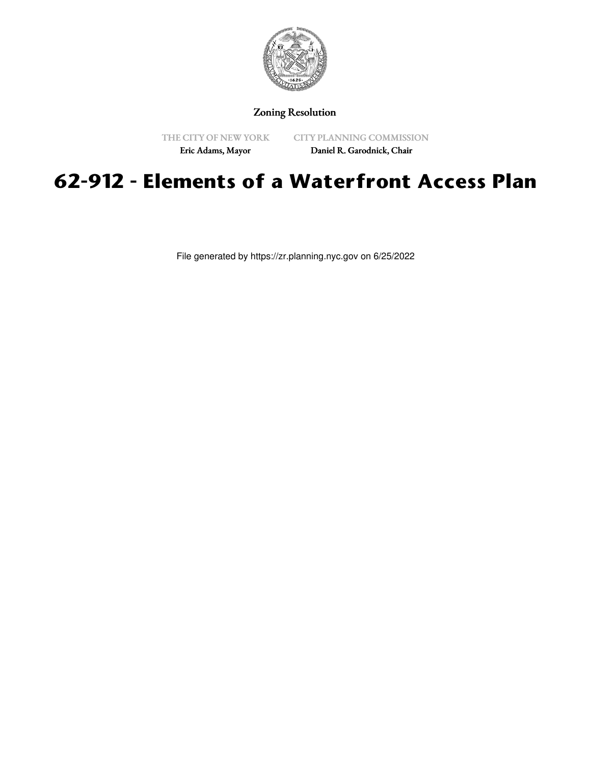

## Zoning Resolution

THE CITY OF NEW YORK

CITY PLANNING COMMISSION

Eric Adams, Mayor

Daniel R. Garodnick, Chair

## **62-912 - Elements of a Waterfront Access Plan**

File generated by https://zr.planning.nyc.gov on 6/25/2022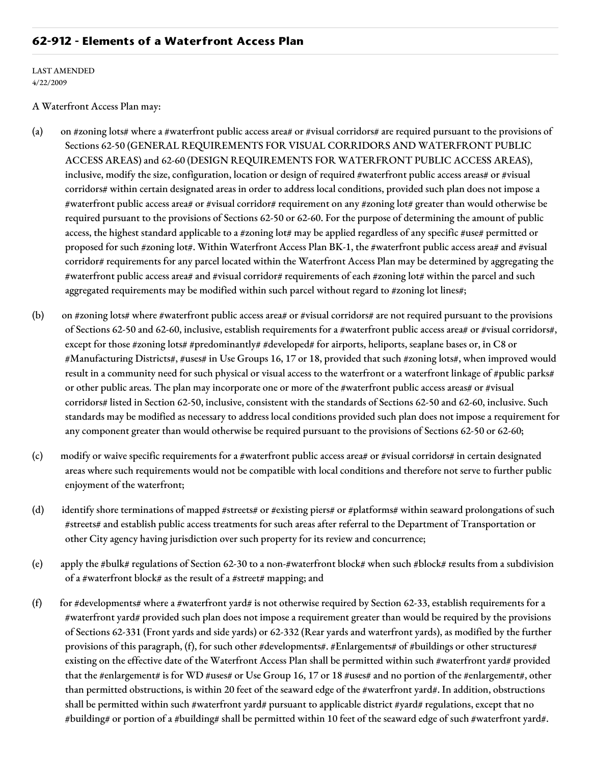## **62-912 - Elements of a Waterfront Access Plan**

LAST AMENDED 4/22/2009

A Waterfront Access Plan may:

- (a) on #zoning lots# where a #waterfront public access area# or #visual corridors# are required pursuant to the provisions of Sections 62-50 (GENERAL REQUIREMENTS FOR VISUAL CORRIDORS AND WATERFRONT PUBLIC ACCESS AREAS) and 62-60 (DESIGN REQUIREMENTS FOR WATERFRONT PUBLIC ACCESS AREAS), inclusive, modify the size, configuration, location or design of required #waterfront public access areas# or #visual corridors# within certain designated areas in order to address local conditions, provided such plan does not impose a #waterfront public access area# or #visual corridor# requirement on any #zoning lot# greater than would otherwise be required pursuant to the provisions of Sections 62-50 or 62-60. For the purpose of determining the amount of public access, the highest standard applicable to a #zoning lot# may be applied regardless of any specific #use# permitted or proposed for such #zoning lot#. Within Waterfront Access Plan BK-1, the #waterfront public access area# and #visual corridor# requirements for any parcel located within the Waterfront Access Plan may be determined by aggregating the #waterfront public access area# and #visual corridor# requirements of each #zoning lot# within the parcel and such aggregated requirements may be modified within such parcel without regard to #zoning lot lines#;
- (b) on #zoning lots# where #waterfront public access area# or #visual corridors# are not required pursuant to the provisions of Sections 62-50 and 62-60, inclusive, establish requirements for a #waterfront public access area# or #visual corridors#, except for those #zoning lots# #predominantly# #developed# for airports, heliports, seaplane bases or, in C8 or #Manufacturing Districts#, #uses# in Use Groups 16, 17 or 18, provided that such #zoning lots#, when improved would result in a community need for such physical or visual access to the waterfront or a waterfront linkage of #public parks# or other public areas. The plan may incorporate one or more of the #waterfront public access areas# or #visual corridors# listed in Section 62-50, inclusive, consistent with the standards of Sections 62-50 and 62-60, inclusive. Such standards may be modified as necessary to address local conditions provided such plan does not impose a requirement for any component greater than would otherwise be required pursuant to the provisions of Sections 62-50 or 62-60;
- (c) modify or waive specific requirements for a #waterfront public access area# or #visual corridors# in certain designated areas where such requirements would not be compatible with local conditions and therefore not serve to further public enjoyment of the waterfront;
- (d) identify shore terminations of mapped #streets# or #existing piers# or #platforms# within seaward prolongations of such #streets# and establish public access treatments for such areas after referral to the Department of Transportation or other City agency having jurisdiction over such property for its review and concurrence;
- (e) apply the #bulk# regulations of Section 62-30 to a non-#waterfront block# when such #block# results from a subdivision of a #waterfront block# as the result of a #street# mapping; and
- (f) for #developments# where a #waterfront yard# is not otherwise required by Section 62-33, establish requirements for a #waterfront yard# provided such plan does not impose a requirement greater than would be required by the provisions of Sections 62-331 (Front yards and side yards) or 62-332 (Rear yards and waterfront yards), as modified by the further provisions of this paragraph, (f), for such other #developments#. #Enlargements# of #buildings or other structures# existing on the effective date of the Waterfront Access Plan shall be permitted within such #waterfront yard# provided that the #enlargement# is for WD #uses# or Use Group 16, 17 or 18 #uses# and no portion of the #enlargement#, other than permitted obstructions, is within 20 feet of the seaward edge of the #waterfront yard#. In addition, obstructions shall be permitted within such #waterfront yard# pursuant to applicable district #yard# regulations, except that no #building# or portion of a #building# shall be permitted within 10 feet of the seaward edge of such #waterfront yard#.